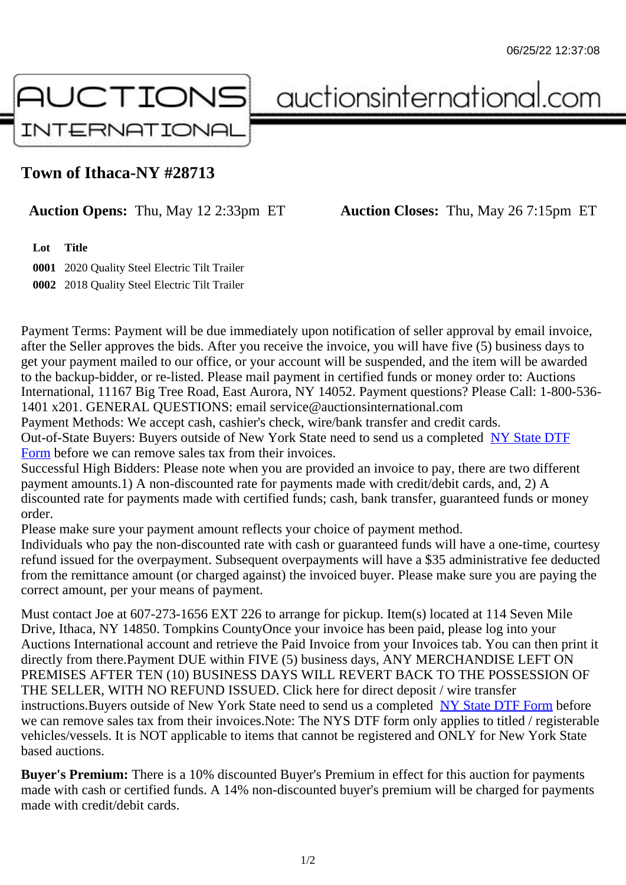## Town of Ithaca-NY #28713

## Auction Opens: Thu, May 12 2:33pm ET Auction Closes: Thu, May 26 7:15pm ET

Lot Title

0001 2020 Quality Steel Electric Tilt Trailer 0002 2018 Quality Steel Electric Tilt Trailer

Payment Terms: Payment will be due immediately upon notification of seller approval by email invoice, after the Seller approves the bids. After you receive the invoice, you will have five (5) business days to get your payment mailed to our office, or your account will be suspended, and the item will be awarded to the backup-bidder, or re-listed. Please mail payment in certified funds or money order to: Auctions International, 11167 Big Tree Road, East Aurora, NY 14052. Payment questions? Please Call: 1-800-53 1401 x201. GENERAL QUESTIONS: email service@auctionsinternational.com

Payment Methods: We accept cash, cashier's check, wire/bank transfer and credit cards. Out-of-State Buyers: Buyers outside of New York State need to send us a com blestate DTF Form before we can remove sales tax from their invoices.

Successful High Bidders: Please note when you are provided an invoice to pay, there are two different payment amounts.1) A non-discounted rate for payments made with credit/de[bit cards, and](https://www.auctionsinternational.com/auxiliary/downloads/DTF_Form/dtf_fill_in.pdf), 2) A [disco](https://www.auctionsinternational.com/auxiliary/downloads/DTF_Form/dtf_fill_in.pdf)unted rate for payments made with certified funds; cash, bank transfer, guaranteed funds or mone order.

Please make sure your payment amount reflects your choice of payment method.

Individuals who pay the non-discounted rate with cash or quaranteed funds will have a one-time, courte refund issued for the overpayment. Subsequent overpayments will have a \$35 administrative fee deduc from the remittance amount (or charged against) the invoiced buyer. Please make sure you are paying correct amount, per your means of payment.

Must contact Joe at 607-273-1656 EXT 226 to arrange for pickup. Item(s) located at 114 Seven Mile Drive, Ithaca, NY 14850. Tompkins CountyOnce your invoice has been paid, please log into your Auctions International account and retrieve the Paid Invoice from your Invoices tab. You can then print it directly from there.Payment DUE within FIVE (5) business days, ANY MERCHANDISE LEFT ON PREMISES AFTER TEN (10) BUSINESS DAYS WILL REVERT BACK TO THE POSSESSION OF THE SELLER, WITH NO REFUND ISSUED. Click here for direct deposit / wire transfer instructions. Buyers outside of New York State need to send us a combletedate DTF Form before we can remove sales tax from their invoices.Note: The NYS DTF form only applies to titled / registerabl vehicles/vessels. It is NOT applicable to items that cannot be registered and ONLY for New York State based auctions.

Buyer's Premium: There is a 10% discounted Buyer's Premium in effect for this auction for payments made with cash or certified funds. A 14% non-discounted buyer's premium will be charged for payments made with credit/debit cards.